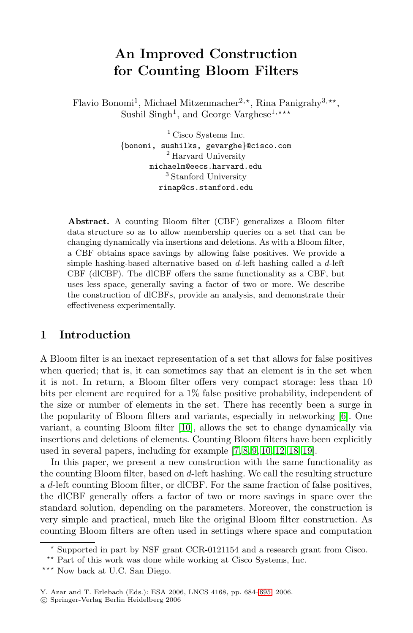# **An Improved Construction for Counting Bloom Filters**

Flavio Bonomi<sup>1</sup>, Michael Mitzenmacher<sup>2,\*</sup>, Rina Panigrahy<sup>3,\*\*</sup>, Sushil Singh<sup>1</sup>, and George Varghese<sup>1,\*\*\*</sup>

> $1$  Cisco Systems Inc. {bonomi, sushilks, gevarghe}@cisco.com <sup>2</sup> Harvard University michaelm@eecs.harvard.edu <sup>3</sup> Stanford University rinap@cs.stanford.edu

**Abstract.** A counting Bloom filter (CBF) generalizes a Bloom filter data structure so as to allow membership queries on a set that can be changing dynamically via insertions and deletions. As with a Bloom filter, a CBF obtains space savings by allowing false positives. We provide a simple hashing-based alternative based on  $d$ -left hashing called a  $d$ -left CBF (dlCBF). The dlCBF offers the same functionality as a CBF, but uses less space, generally saving a factor of two or more. We describe the construction of dlCBFs, provide an analysis, and demonstrate their effectiveness experimentally.

# **1 Introduction**

A Bloom filter is an inexact representation of a set that allows for false positives when queried; that is, it can sometimes say that an element is in the set when it is not. In return, a Bloom filter offers very compact storage: less than 10 bits per element are required for a 1% false positive probability, independent of the size or number of elements in the set. There has recently been a surge in the popularity of Bloom filters and variants, especially in networking [\[6\]](#page-11-0). One variant, a counting Bloom filter [\[10\]](#page-11-1), allows the set to change dynamically via insertions and deletions of elements. Counting Bloom filters have been explicitly used in several papers, including for example [\[7,](#page-11-2) [8,](#page-11-3) [9,](#page-11-4) [10,](#page-11-1) [12,](#page-11-5) [18,](#page-11-6) [19\]](#page-11-7).

In this paper, we present a new construction with the same functionality as the counting Bloom filter, based on d-left hashing. We call the resulting structure a d-left counting Bloom filter, or dlCBF. For the same fraction of false positives, the dlCBF generally offers a factor of two or more savings in space over the standard solution, depending on the parameters. Moreover, the construction is very simple and practical, much like the original Bloom filter construction. As counting Bloom filters are often used in settings where space and computation

<sup>-</sup> Supported in part by NSF grant CCR-0121154 and a research grant from Cisco.

<sup>\*\*</sup> Part of this work was done while working at Cisco Systems, Inc.

<sup>\*\*\*</sup> Now back at U.C. San Diego.

Y. Azar and T. Erlebach (Eds.): ESA 2006, LNCS 4168, pp. 684[–695,](#page-11-8) 2006.

<sup>-</sup>c Springer-Verlag Berlin Heidelberg 2006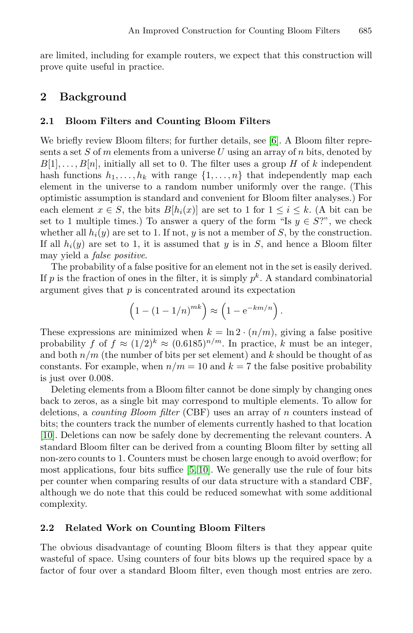are limited, including for example routers, we expect that this construction will prove quite useful in practice.

## **2 Background**

#### **2.1 Bloom Filters and Counting Bloom Filters**

We briefly review Bloom filters; for further details, see [\[6\]](#page-11-0). A Bloom filter represents a set S of m elements from a universe U using an array of n bits, denoted by  $B[1], \ldots, B[n]$ , initially all set to 0. The filter uses a group H of k independent hash functions  $h_1, \ldots, h_k$  with range  $\{1, \ldots, n\}$  that independently map each element in the universe to a random number uniformly over the range. (This optimistic assumption is standard and convenient for Bloom filter analyses.) For each element  $x \in S$ , the bits  $B[h_i(x)]$  are set to 1 for  $1 \leq i \leq k$ . (A bit can be set to 1 multiple times.) To answer a query of the form "Is  $y \in S$ ?", we check whether all  $h_i(y)$  are set to 1. If not, y is not a member of S, by the construction. If all  $h_i(y)$  are set to 1, it is assumed that y is in S, and hence a Bloom filter may yield a false positive.

The probability of a false positive for an element not in the set is easily derived. If p is the fraction of ones in the filter, it is simply  $p<sup>k</sup>$ . A standard combinatorial argument gives that  $p$  is concentrated around its expectation

$$
\left(1 - \left(1 - 1/n\right)^{mk}\right) \approx \left(1 - e^{-km/n}\right).
$$

These expressions are minimized when  $k = \ln 2 \cdot (n/m)$ , giving a false positive probability f of  $f \approx (1/2)^k \approx (0.6185)^{n/m}$ . In practice, k must be an integer, and both  $n/m$  (the number of bits per set element) and k should be thought of as constants. For example, when  $n/m = 10$  and  $k = 7$  the false positive probability is just over 0.008.

Deleting elements from a Bloom filter cannot be done simply by changing ones back to zeros, as a single bit may correspond to multiple elements. To allow for deletions, a counting Bloom filter (CBF) uses an array of n counters instead of bits; the counters track the number of elements currently hashed to that location [\[10\]](#page-11-1). Deletions can now be safely done by decrementing the relevant counters. A standard Bloom filter can be derived from a counting Bloom filter by setting all non-zero counts to 1. Counters must be chosen large enough to avoid overflow; for most applications, four bits suffice [\[5,](#page-11-9) [10\]](#page-11-1). We generally use the rule of four bits per counter when comparing results of our data structure with a standard CBF, although we do note that this could be reduced somewhat with some additional complexity.

#### **2.2 Related Work on Counting Bloom Filters**

The obvious disadvantage of counting Bloom filters is that they appear quite wasteful of space. Using counters of four bits blows up the required space by a factor of four over a standard Bloom filter, even though most entries are zero.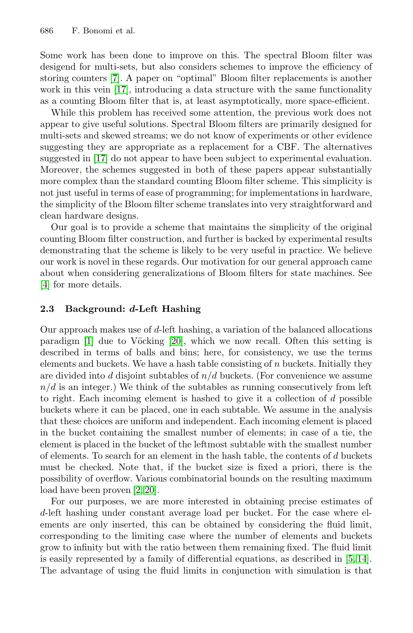Some work has been done to improve on this. The spectral Bloom filter was desigend for multi-sets, but also considers schemes to improve the efficiency of storing counters [\[7\]](#page-11-2). A paper on "optimal" Bloom filter replacements is another work in this vein [\[17\]](#page-11-10), introducing a data structure with the same functionality as a counting Bloom filter that is, at least asymptotically, more space-efficient.

While this problem has received some attention, the previous work does not appear to give useful solutions. Spectral Bloom filters are primarily designed for multi-sets and skewed streams; we do not know of experiments or other evidence suggesting they are appropriate as a replacement for a CBF. The alternatives suggested in [\[17\]](#page-11-10) do not appear to have been subject to experimental evaluation. Moreover, the schemes suggested in both of these papers appear substantially more complex than the standard counting Bloom filter scheme. This simplicity is not just useful in terms of ease of programming; for implementations in hardware, the simplicity of the Bloom filter scheme translates into very straightforward and clean hardware designs.

Our goal is to provide a scheme that maintains the simplicity of the original counting Bloom filter construction, and further is backed by experimental results demonstrating that the scheme is likely to be very useful in practice. We believe our work is novel in these regards. Our motivation for our general approach came about when considering generalizations of Bloom filters for state machines. See [\[4\]](#page-11-11) for more details.

### <span id="page-2-0"></span>**2.3 Background:** *d***-Left Hashing**

Our approach makes use of  $d$ -left hashing, a variation of the balanced allocations paradigm  $[1]$  due to Vöcking  $[20]$ , which we now recall. Often this setting is described in terms of balls and bins; here, for consistency, we use the terms elements and buckets. We have a hash table consisting of  $n$  buckets. Initially they are divided into d disjoint subtables of  $n/d$  buckets. (For convenience we assume  $n/d$  is an integer.) We think of the subtables as running consecutively from left to right. Each incoming element is hashed to give it a collection of  $d$  possible buckets where it can be placed, one in each subtable. We assume in the analysis that these choices are uniform and independent. Each incoming element is placed in the bucket containing the smallest number of elements; in case of a tie, the element is placed in the bucket of the leftmost subtable with the smallest number of elements. To search for an element in the hash table, the contents of d buckets must be checked. Note that, if the bucket size is fixed a priori, there is the possibility of overflow. Various combinatorial bounds on the resulting maximum load have been proven [\[2,](#page-11-14) [20\]](#page-11-13).

For our purposes, we are more interested in obtaining precise estimates of d-left hashing under constant average load per bucket. For the case where elements are only inserted, this can be obtained by considering the fluid limit, corresponding to the limiting case where the number of elements and buckets grow to infinity but with the ratio between them remaining fixed. The fluid limit is easily represented by a family of differential equations, as described in [\[5,](#page-11-9) [14\]](#page-11-15). The advantage of using the fluid limits in conjunction with simulation is that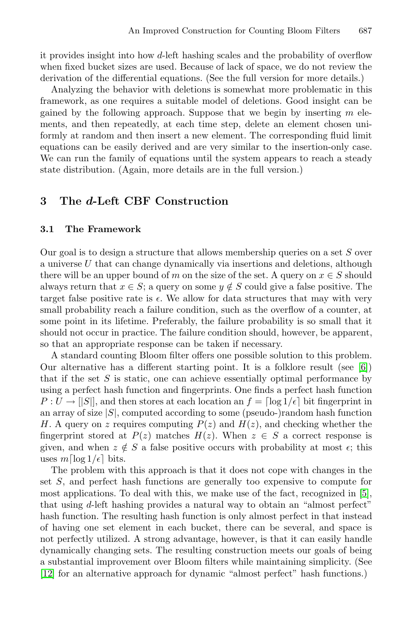it provides insight into how d-left hashing scales and the probability of overflow when fixed bucket sizes are used. Because of lack of space, we do not review the derivation of the differential equations. (See the full version for more details.)

Analyzing the behavior with deletions is somewhat more problematic in this framework, as one requires a suitable model of deletions. Good insight can be gained by the following approach. Suppose that we begin by inserting  $m$  elements, and then repeatedly, at each time step, delete an element chosen uniformly at random and then insert a new element. The corresponding fluid limit equations can be easily derived and are very similar to the insertion-only case. We can run the family of equations until the system appears to reach a steady state distribution. (Again, more details are in the full version.)

# **3 The** *d***-Left CBF Construction**

#### **3.1 The Framework**

Our goal is to design a structure that allows membership queries on a set  $S$  over a universe U that can change dynamically via insertions and deletions, although there will be an upper bound of m on the size of the set. A query on  $x \in S$  should always return that  $x \in S$ ; a query on some  $y \notin S$  could give a false positive. The target false positive rate is  $\epsilon$ . We allow for data structures that may with very small probability reach a failure condition, such as the overflow of a counter, at some point in its lifetime. Preferably, the failure probability is so small that it should not occur in practice. The failure condition should, however, be apparent, so that an appropriate response can be taken if necessary.

A standard counting Bloom filter offers one possible solution to this problem. Our alternative has a different starting point. It is a folklore result (see [\[6\]](#page-11-0)) that if the set  $S$  is static, one can achieve essentially optimal performance by using a perfect hash function and fingerprints. One finds a perfect hash function  $P: U \to [|S|]$ , and then stores at each location an  $f = \lceil \log 1/\epsilon \rceil$  bit fingerprint in an array of size  $|S|$ , computed according to some (pseudo-)random hash function H. A query on z requires computing  $P(z)$  and  $H(z)$ , and checking whether the fingerprint stored at  $P(z)$  matches  $H(z)$ . When  $z \in S$  a correct response is given, and when  $z \notin S$  a false positive occurs with probability at most  $\epsilon$ ; this uses  $m \lceil \log 1/\epsilon \rceil$  bits.

The problem with this approach is that it does not cope with changes in the set S, and perfect hash functions are generally too expensive to compute for most applications. To deal with this, we make use of the fact, recognized in [\[5\]](#page-11-9), that using d-left hashing provides a natural way to obtain an "almost perfect" hash function. The resulting hash function is only almost perfect in that instead of having one set element in each bucket, there can be several, and space is not perfectly utilized. A strong advantage, however, is that it can easily handle dynamically changing sets. The resulting construction meets our goals of being a substantial improvement over Bloom filters while maintaining simplicity. (See [\[12\]](#page-11-5) for an alternative approach for dynamic "almost perfect" hash functions.)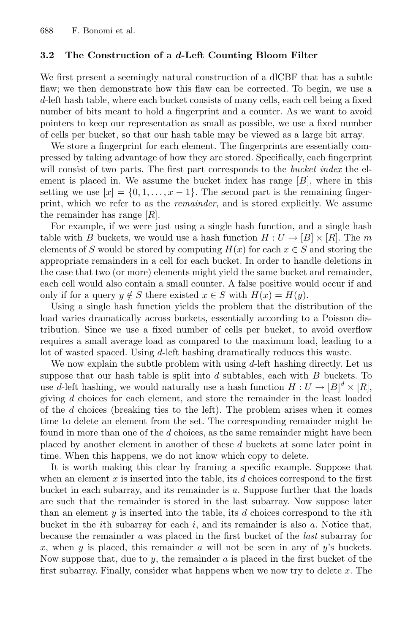#### <span id="page-4-0"></span>**3.2 The Construction of a** *d***-Left Counting Bloom Filter**

We first present a seemingly natural construction of a dlCBF that has a subtle flaw; we then demonstrate how this flaw can be corrected. To begin, we use a d-left hash table, where each bucket consists of many cells, each cell being a fixed number of bits meant to hold a fingerprint and a counter. As we want to avoid pointers to keep our representation as small as possible, we use a fixed number of cells per bucket, so that our hash table may be viewed as a large bit array.

We store a fingerprint for each element. The fingerprints are essentially compressed by taking advantage of how they are stored. Specifically, each fingerprint will consist of two parts. The first part corresponds to the *bucket index* the element is placed in. We assume the bucket index has range  $[B]$ , where in this setting we use  $[x] = \{0, 1, \ldots, x-1\}$ . The second part is the remaining fingerprint, which we refer to as the remainder, and is stored explicitly. We assume the remainder has range  $[R]$ .

For example, if we were just using a single hash function, and a single hash table with B buckets, we would use a hash function  $H: U \to [B] \times [R]$ . The m elements of S would be stored by computing  $H(x)$  for each  $x \in S$  and storing the appropriate remainders in a cell for each bucket. In order to handle deletions in the case that two (or more) elements might yield the same bucket and remainder, each cell would also contain a small counter. A false positive would occur if and only if for a query  $y \notin S$  there existed  $x \in S$  with  $H(x) = H(y)$ .

Using a single hash function yields the problem that the distribution of the load varies dramatically across buckets, essentially according to a Poisson distribution. Since we use a fixed number of cells per bucket, to avoid overflow requires a small average load as compared to the maximum load, leading to a lot of wasted spaced. Using d-left hashing dramatically reduces this waste.

We now explain the subtle problem with using  $d$ -left hashing directly. Let us suppose that our hash table is split into  $d$  subtables, each with  $B$  buckets. To use d-left hashing, we would naturally use a hash function  $H: U \to [B]^d \times [R]$ , giving d choices for each element, and store the remainder in the least loaded of the d choices (breaking ties to the left). The problem arises when it comes time to delete an element from the set. The corresponding remainder might be found in more than one of the d choices, as the same remainder might have been placed by another element in another of these d buckets at some later point in time. When this happens, we do not know which copy to delete.

It is worth making this clear by framing a specific example. Suppose that when an element  $x$  is inserted into the table, its  $d$  choices correspond to the first bucket in each subarray, and its remainder is a. Suppose further that the loads are such that the remainder is stored in the last subarray. Now suppose later than an element  $y$  is inserted into the table, its  $d$  choices correspond to the *i*th bucket in the *i*th subarray for each  $i$ , and its remainder is also  $a$ . Notice that, because the remainder a was placed in the first bucket of the last subarray for x, when y is placed, this remainder a will not be seen in any of  $y$ 's buckets. Now suppose that, due to  $y$ , the remainder  $a$  is placed in the first bucket of the first subarray. Finally, consider what happens when we now try to delete  $x$ . The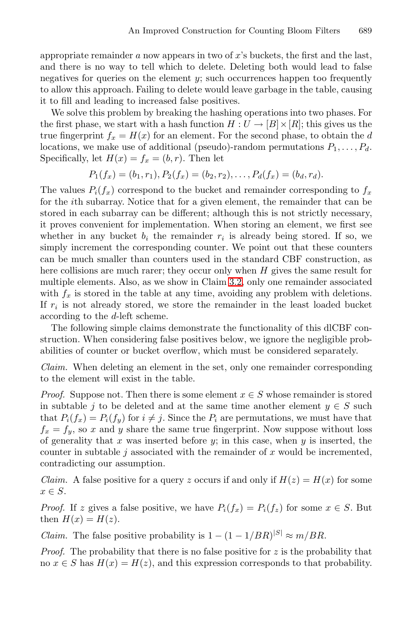appropriate remainder a now appears in two of x's buckets, the first and the last, and there is no way to tell which to delete. Deleting both would lead to false negatives for queries on the element y; such occurrences happen too frequently to allow this approach. Failing to delete would leave garbage in the table, causing it to fill and leading to increased false positives.

We solve this problem by breaking the hashing operations into two phases. For the first phase, we start with a hash function  $H: U \to [B] \times [R]$ ; this gives us the true fingerprint  $f_x = H(x)$  for an element. For the second phase, to obtain the d locations, we make use of additional (pseudo)-random permutations  $P_1, \ldots, P_d$ . Specifically, let  $H(x) = f_x = (b, r)$ . Then let

$$
P_1(f_x) = (b_1, r_1), P_2(f_x) = (b_2, r_2), \dots, P_d(f_x) = (b_d, r_d).
$$

The values  $P_i(f_x)$  correspond to the bucket and remainder corresponding to  $f_x$ for the ith subarray. Notice that for a given element, the remainder that can be stored in each subarray can be different; although this is not strictly necessary, it proves convenient for implementation. When storing an element, we first see whether in any bucket  $b_i$  the remainder  $r_i$  is already being stored. If so, we simply increment the corresponding counter. We point out that these counters can be much smaller than counters used in the standard CBF construction, as here collisions are much rarer; they occur only when  $H$  gives the same result for multiple elements. Also, as we show in Claim [3.2,](#page-4-0) only one remainder associated with  $f_x$  is stored in the table at any time, avoiding any problem with deletions. If  $r_i$  is not already stored, we store the remainder in the least loaded bucket according to the d-left scheme.

The following simple claims demonstrate the functionality of this dlCBF construction. When considering false positives below, we ignore the negligible probabilities of counter or bucket overflow, which must be considered separately.

Claim. When deleting an element in the set, only one remainder corresponding to the element will exist in the table.

*Proof.* Suppose not. Then there is some element  $x \in S$  whose remainder is stored in subtable j to be deleted and at the same time another element  $y \in S$  such that  $P_i(f_x) = P_i(f_y)$  for  $i \neq j$ . Since the  $P_i$  are permutations, we must have that  $f_x = f_y$ , so x and y share the same true fingerprint. Now suppose without loss of generality that x was inserted before  $y$ ; in this case, when y is inserted, the counter in subtable  $j$  associated with the remainder of  $x$  would be incremented, contradicting our assumption.

*Claim.* A false positive for a query z occurs if and only if  $H(z) = H(x)$  for some  $x \in S$ .

*Proof.* If z gives a false positive, we have  $P_i(f_x) = P_i(f_z)$  for some  $x \in S$ . But then  $H(x) = H(z)$ .

*Claim.* The false positive probability is  $1 - (1 - 1/BR)^{|S|} \approx m/BR$ .

*Proof.* The probability that there is no false positive for  $z$  is the probability that no  $x \in S$  has  $H(x) = H(z)$ , and this expression corresponds to that probability.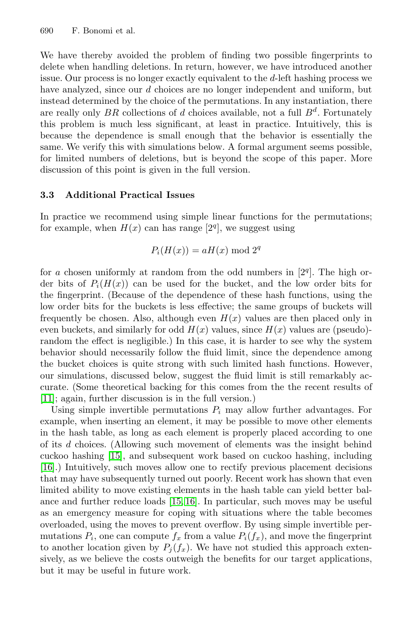We have thereby avoided the problem of finding two possible fingerprints to delete when handling deletions. In return, however, we have introduced another issue. Our process is no longer exactly equivalent to the d-left hashing process we have analyzed, since our d choices are no longer independent and uniform, but instead determined by the choice of the permutations. In any instantiation, there are really only BR collections of d choices available, not a full  $B^d$ . Fortunately this problem is much less significant, at least in practice. Intuitively, this is because the dependence is small enough that the behavior is essentially the same. We verify this with simulations below. A formal argument seems possible, for limited numbers of deletions, but is beyond the scope of this paper. More discussion of this point is given in the full version.

#### <span id="page-6-0"></span>**3.3 Additional Practical Issues**

In practice we recommend using simple linear functions for the permutations; for example, when  $H(x)$  can has range  $[2<sup>q</sup>]$ , we suggest using

$$
P_i(H(x)) = aH(x) \bmod 2^q
$$

for a chosen uniformly at random from the odd numbers in  $[2^q]$ . The high order bits of  $P_i(H(x))$  can be used for the bucket, and the low order bits for the fingerprint. (Because of the dependence of these hash functions, using the low order bits for the buckets is less effective; the same groups of buckets will frequently be chosen. Also, although even  $H(x)$  values are then placed only in even buckets, and similarly for odd  $H(x)$  values, since  $H(x)$  values are (pseudo)random the effect is negligible.) In this case, it is harder to see why the system behavior should necessarily follow the fluid limit, since the dependence among the bucket choices is quite strong with such limited hash functions. However, our simulations, discussed below, suggest the fluid limit is still remarkably accurate. (Some theoretical backing for this comes from the the recent results of [\[11\]](#page-11-16); again, further discussion is in the full version.)

Using simple invertible permutations  $P_i$  may allow further advantages. For example, when inserting an element, it may be possible to move other elements in the hash table, as long as each element is properly placed according to one of its d choices. (Allowing such movement of elements was the insight behind cuckoo hashing [\[15\]](#page-11-17), and subsequent work based on cuckoo hashing, including [\[16\]](#page-11-18).) Intuitively, such moves allow one to rectify previous placement decisions that may have subsequently turned out poorly. Recent work has shown that even limited ability to move existing elements in the hash table can yield better balance and further reduce loads [\[15,](#page-11-17) [16\]](#page-11-18). In particular, such moves may be useful as an emergency measure for coping with situations where the table becomes overloaded, using the moves to prevent overflow. By using simple invertible permutations  $P_i$ , one can compute  $f_x$  from a value  $P_i(f_x)$ , and move the fingerprint to another location given by  $P_i(f_x)$ . We have not studied this approach extensively, as we believe the costs outweigh the benefits for our target applications, but it may be useful in future work.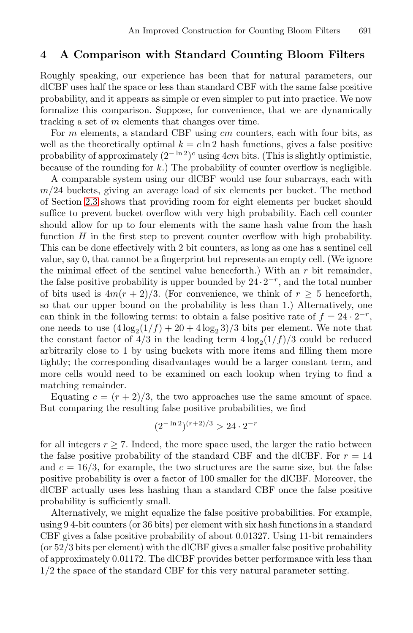#### <span id="page-7-0"></span>**4 A Comparison with Standard Counting Bloom Filters**

Roughly speaking, our experience has been that for natural parameters, our dlCBF uses half the space or less than standard CBF with the same false positive probability, and it appears as simple or even simpler to put into practice. We now formalize this comparison. Suppose, for convenience, that we are dynamically tracking a set of m elements that changes over time.

For m elements, a standard CBF using cm counters, each with four bits, as well as the theoretically optimal  $k = c \ln 2$  hash functions, gives a false positive probability of approximately  $(2^{-\ln 2})^c$  using 4cm bits. (This is slightly optimistic, because of the rounding for  $k$ .) The probability of counter overflow is negligible.

A comparable system using our dlCBF would use four subarrays, each with  $m/24$  buckets, giving an average load of six elements per bucket. The method of Section [2.3](#page-2-0) shows that providing room for eight elements per bucket should suffice to prevent bucket overflow with very high probability. Each cell counter should allow for up to four elements with the same hash value from the hash function H in the first step to prevent counter overflow with high probability. This can be done effectively with 2 bit counters, as long as one has a sentinel cell value, say 0, that cannot be a fingerprint but represents an empty cell. (We ignore the minimal effect of the sentinel value henceforth.) With an  $r$  bit remainder, the false positive probability is upper bounded by  $24 \cdot 2^{-r}$ , and the total number of bits used is  $4m(r+2)/3$ . (For convenience, we think of  $r \geq 5$  henceforth, so that our upper bound on the probability is less than 1.) Alternatively, one can think in the following terms: to obtain a false positive rate of  $f = 24 \cdot 2^{-r}$ , one needs to use  $(4 \log_2(1/f) + 20 + 4 \log_2 3)/3$  bits per element. We note that the constant factor of  $4/3$  in the leading term  $4\log_2(1/f)/3$  could be reduced arbitrarily close to 1 by using buckets with more items and filling them more tightly; the corresponding disadvantages would be a larger constant term, and more cells would need to be examined on each lookup when trying to find a matching remainder.

Equating  $c = (r + 2)/3$ , the two approaches use the same amount of space. But comparing the resulting false positive probabilities, we find

$$
(2^{-\ln 2})^{(r+2)/3} > 24 \cdot 2^{-r}
$$

for all integers  $r \geq 7$ . Indeed, the more space used, the larger the ratio between the false positive probability of the standard CBF and the dlCBF. For  $r = 14$ and  $c = 16/3$ , for example, the two structures are the same size, but the false positive probability is over a factor of 100 smaller for the dlCBF. Moreover, the dlCBF actually uses less hashing than a standard CBF once the false positive probability is sufficiently small.

Alternatively, we might equalize the false positive probabilities. For example, using 9 4-bit counters (or 36 bits) per element with six hash functions in a standard CBF gives a false positive probability of about 0.01327. Using 11-bit remainders (or 52/3 bits per element) with the dlCBF gives a smaller false positive probability of approximately 0.01172. The dlCBF provides better performance with less than 1/2 the space of the standard CBF for this very natural parameter setting.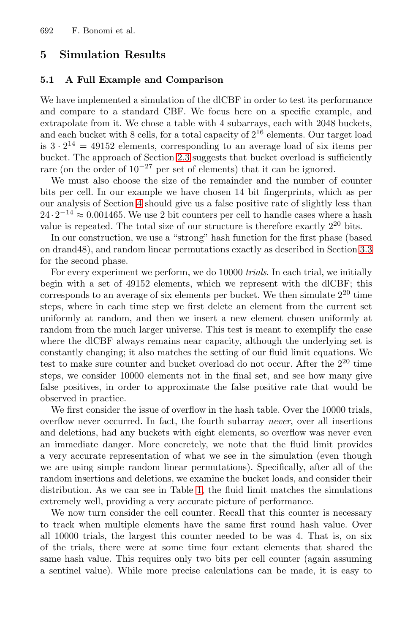# **5 Simulation Results**

#### **5.1 A Full Example and Comparison**

We have implemented a simulation of the dlCBF in order to test its performance and compare to a standard CBF. We focus here on a specific example, and extrapolate from it. We chose a table with 4 subarrays, each with 2048 buckets, and each bucket with  $8$  cells, for a total capacity of  $2^{16}$  elements. Our target load is  $3 \cdot 2^{14} = 49152$  elements, corresponding to an average load of six items per bucket. The approach of Section [2.3](#page-2-0) suggests that bucket overload is sufficiently rare (on the order of  $10^{-27}$  per set of elements) that it can be ignored.

We must also choose the size of the remainder and the number of counter bits per cell. In our example we have chosen 14 bit fingerprints, which as per our analysis of Section [4](#page-7-0) should give us a false positive rate of slightly less than 24 · 2<sup>−14</sup> ≈ 0.001465. We use 2 bit counters per cell to handle cases where a hash value is repeated. The total size of our structure is therefore exactly  $2^{20}$  bits.

In our construction, we use a "strong" hash function for the first phase (based on drand48), and random linear permutations exactly as described in Section [3.3](#page-6-0) for the second phase.

For every experiment we perform, we do 10000 *trials*. In each trial, we initially begin with a set of 49152 elements, which we represent with the dlCBF; this corresponds to an average of six elements per bucket. We then simulate  $2^{20}$  time steps, where in each time step we first delete an element from the current set uniformly at random, and then we insert a new element chosen uniformly at random from the much larger universe. This test is meant to exemplify the case where the dlCBF always remains near capacity, although the underlying set is constantly changing; it also matches the setting of our fluid limit equations. We test to make sure counter and bucket overload do not occur. After the  $2^{20}$  time steps, we consider 10000 elements not in the final set, and see how many give false positives, in order to approximate the false positive rate that would be observed in practice.

We first consider the issue of overflow in the hash table. Over the 10000 trials, overflow never occurred. In fact, the fourth subarray never, over all insertions and deletions, had any buckets with eight elements, so overflow was never even an immediate danger. More concretely, we note that the fluid limit provides a very accurate representation of what we see in the simulation (even though we are using simple random linear permutations). Specifically, after all of the random insertions and deletions, we examine the bucket loads, and consider their distribution. As we can see in Table [1,](#page-9-0) the fluid limit matches the simulations extremely well, providing a very accurate picture of performance.

We now turn consider the cell counter. Recall that this counter is necessary to track when multiple elements have the same first round hash value. Over all 10000 trials, the largest this counter needed to be was 4. That is, on six of the trials, there were at some time four extant elements that shared the same hash value. This requires only two bits per cell counter (again assuming a sentinel value). While more precise calculations can be made, it is easy to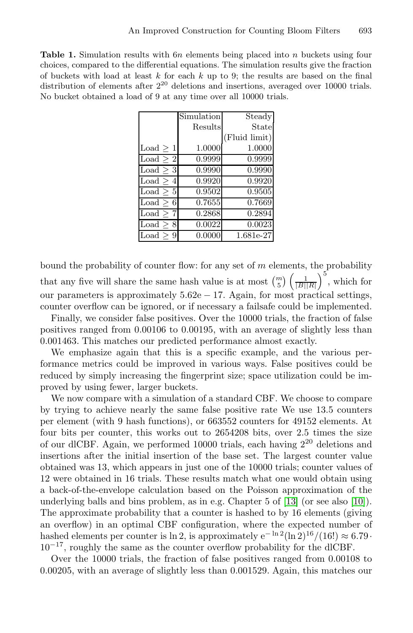<span id="page-9-0"></span>**Table 1.** Simulation results with  $6n$  elements being placed into n buckets using four choices, compared to the differential equations. The simulation results give the fraction of buckets with load at least  $k$  for each  $k$  up to 9; the results are based on the final distribution of elements after  $2^{20}$  deletions and insertions, averaged over 10000 trials. No bucket obtained a load of 9 at any time over all 10000 trials.

|               | Simulation | Steady        |
|---------------|------------|---------------|
|               | Results    | State         |
|               |            | (Fluid limit) |
| Load $\geq 1$ | 1.0000     | 1.0000        |
| Load $\geq 2$ | 0.9999     | 0.9999        |
| Load $\geq 3$ | 0.9990     | 0.9990        |
| Load $\geq 4$ | 0.9920     | 0.9920        |
| Load > 5      | 0.9502     | 0.9505        |
| Load $\geq 6$ | 0.7655     | 0.7669        |
| Load > 7      | 0.2868     | 0.2894        |
| Load > 8      | 0.0022     | 0.0023        |
| Load > 9      | 0.0000     | 1.681e-27     |

bound the probability of counter flow: for any set of  $m$  elements, the probability that any five will share the same hash value is at most  $\binom{m}{5} \left( \frac{1}{|B||R|} \right)^5$ , which for our parameters is approximately 5.62e − 17. Again, for most practical settings, counter overflow can be ignored, or if necessary a failsafe could be implemented.

Finally, we consider false positives. Over the 10000 trials, the fraction of false positives ranged from 0.00106 to 0.00195, with an average of slightly less than 0.001463. This matches our predicted performance almost exactly.

We emphasize again that this is a specific example, and the various performance metrics could be improved in various ways. False positives could be reduced by simply increasing the fingerprint size; space utilization could be improved by using fewer, larger buckets.

We now compare with a simulation of a standard CBF. We choose to compare by trying to achieve nearly the same false positive rate We use 13.5 counters per element (with 9 hash functions), or 663552 counters for 49152 elements. At four bits per counter, this works out to 2654208 bits, over 2.5 times the size of our dlCBF. Again, we performed 10000 trials, each having  $2^{20}$  deletions and insertions after the initial insertion of the base set. The largest counter value obtained was 13, which appears in just one of the 10000 trials; counter values of 12 were obtained in 16 trials. These results match what one would obtain using a back-of-the-envelope calculation based on the Poisson approximation of the underlying balls and bins problem, as in e.g. Chapter 5 of [\[13\]](#page-11-19) (or see also [\[10\]](#page-11-1)). The approximate probability that a counter is hashed to by 16 elements (giving an overflow) in an optimal CBF configuration, where the expected number of hashed elements per counter is ln 2, is approximately  $e^{-\ln 2}(\ln 2)^{16}/(16!) \approx 6.79$  $10^{-17}$ , roughly the same as the counter overflow probability for the dlCBF.

Over the 10000 trials, the fraction of false positives ranged from 0.00108 to 0.00205, with an average of slightly less than 0.001529. Again, this matches our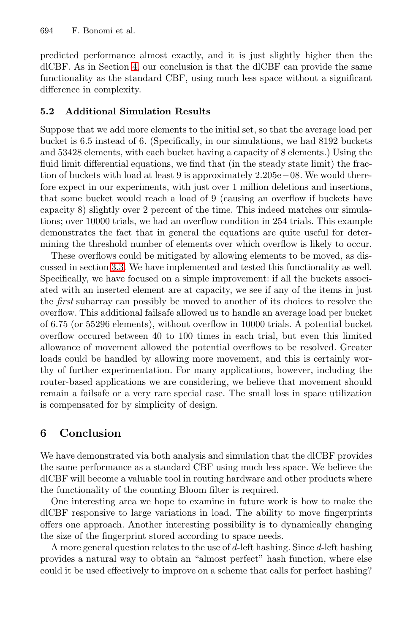predicted performance almost exactly, and it is just slightly higher then the dlCBF. As in Section [4,](#page-7-0) our conclusion is that the dlCBF can provide the same functionality as the standard CBF, using much less space without a significant difference in complexity.

# **5.2 Additional Simulation Results**

Suppose that we add more elements to the initial set, so that the average load per bucket is 6.5 instead of 6. (Specifically, in our simulations, we had 8192 buckets and 53428 elements, with each bucket having a capacity of 8 elements.) Using the fluid limit differential equations, we find that (in the steady state limit) the fraction of buckets with load at least 9 is approximately 2.205e−08. We would therefore expect in our experiments, with just over 1 million deletions and insertions, that some bucket would reach a load of 9 (causing an overflow if buckets have capacity 8) slightly over 2 percent of the time. This indeed matches our simulations; over 10000 trials, we had an overflow condition in 254 trials. This example demonstrates the fact that in general the equations are quite useful for determining the threshold number of elements over which overflow is likely to occur.

These overflows could be mitigated by allowing elements to be moved, as discussed in section [3.3.](#page-6-0) We have implemented and tested this functionality as well. Specifically, we have focused on a simple improvement: if all the buckets associated with an inserted element are at capacity, we see if any of the items in just the first subarray can possibly be moved to another of its choices to resolve the overflow. This additional failsafe allowed us to handle an average load per bucket of 6.75 (or 55296 elements), without overflow in 10000 trials. A potential bucket overflow occured between 40 to 100 times in each trial, but even this limited allowance of movement allowed the potential overflows to be resolved. Greater loads could be handled by allowing more movement, and this is certainly worthy of further experimentation. For many applications, however, including the router-based applications we are considering, we believe that movement should remain a failsafe or a very rare special case. The small loss in space utilization is compensated for by simplicity of design.

# **6 Conclusion**

We have demonstrated via both analysis and simulation that the dlCBF provides the same performance as a standard CBF using much less space. We believe the dlCBF will become a valuable tool in routing hardware and other products where the functionality of the counting Bloom filter is required.

One interesting area we hope to examine in future work is how to make the dlCBF responsive to large variations in load. The ability to move fingerprints offers one approach. Another interesting possibility is to dynamically changing the size of the fingerprint stored according to space needs.

A more general question relates to the use of  $d$ -left hashing. Since  $d$ -left hashing provides a natural way to obtain an "almost perfect" hash function, where else could it be used effectively to improve on a scheme that calls for perfect hashing?